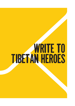# **TIBETAN HEROES**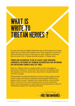# WHAT IS WRITE TO Tibetan Heroes ?

To mark both Human Rights Defenders Day (9 December) and Human Rights Day (10 December) Tibetans and Tibet supporters around the world are taking time out of their days to send a letter to someone they've never met; a Tibetan political prisoner; a Tibetan hero.

#### THERE ARE ESTIMATED TO BE AT LEAST 2,000 TIBETANS CURRENTLY DETAINED BY CHINESE AUTHORITIES FOR OPPOSING OR CRITICIZING CHINA'S RULE OF TIBET.

Write to a Tibetan Hero is a global action to send messages to imprisoned Tibetans to show them that they are not forgotten and that people around the world know about their wrongful detention and their courage.

Writing letters to political prisoners is known in many cases to help boost morale and make an important psychological difference to people while in prison. Despite all our email actions a hand-written letter is still one of the most powerful tools we have as activists: letters can build pressure on authorities by showing there is a level of international support for individual prisoners.

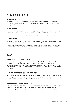### 3 REASONS TO JOIN US

#### 1. IT IS SUCCESSFUL

Your words really can make a difference. Human rights organisations who run letter writing actions have had feedback from released political prisoners that letters from supporters helped change their lives.

#### 2. IT IS SIMPLE

You simply need to write a short letter or message to one or more of the listed Tibetan Heroes. We do then ask that you let us know who you wrote to, which can be just one or many.

In this pack you will find easy to use information with everything you need to write your letter(s).

#### 3. IT GIVES HOPE

By sending a letter, or letters, you will be joining with human rights supporters around the globe who are writing to political prisoners to bring hope and to make change.

As well as writing your own letters you could organise a Tibetan Heroes Rights Write and invite your friends, family, work colleagues and community members together to the give hope and solidarity to Tibetan Heroes in Tibet. Join us!

### FAQS

#### WHAT SHOULD I PUT IN MY LETTER?

You can write something very short and basic, but simply make it personal from you. We have provided a short sample letter to give you an idea but feel free to be creative and let your personality come through. Remember this is a letter of solidarity, aiming to help Tibetan Heroe feel uplifted and supported. Tell them where you're writing from so they know how far their story has traveled.

#### IS THERE ANYTHING I SHOULD AVOID SAYING?

Avoid talking about politics, and definitely do not write about Tibetan freedom or independence. It is highly probable that your letter will be read by the authorities before it reaches the writer, so use your common sense and don't say anything that could put her/him at risk.

#### WHAT LANGUAGE SHOULD I WRITE IN?

Ideally in English, or if that isn't possible please write in your own language. If the Tibetan Heroes does not speak the language in which you are writing, keep the sentences short and simple and the overall length of the message relatively brief to enable the letter to be easily translated.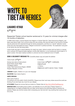

### LHAMO KYAB ལྷ་མོ་སྐྱབས་

Respected Tibetan school teacher sentenced to 15 years for criminal charges after 18 months of detention.

In 2008 Lhamo Kyab, a school teacher from Nagchu in Central Tibet (Ch: Tibet Autonomous Region), was taken away late at night, from a school where she was working. She was first taken to her home by Chinese security personnel who searched through her family possessions, and then to a "secret" detention centre where she was interrogated her about "alleged involvement in political activities." No explanation was given to her family why she was being taken.

Lhamo Kyab was kept in secret detention for nearly two years, without contact with her family or a lawyer, and in January 2010 approximately eighteen months after detention, a court sentenced Lhamo Kyab to 15 years in prison. Her exact medical condition is unknown but she is believed to be in ill health.

#### SEND A SOLIDARITY MESSAGE TO: *If possible please copy and paste the address*

Lhamo Kyab | স্লু'র্মা'ক্সমে' Xizang Lasa Jianyu (Lhasa prison) Duodi street, Duodi village Chengguan district Lhasa, Tibet Autonomous Region, 850000 People's Republic of China

In Chinese: Lhamo Kyab | ལུ་མོ་སྐྲབས་ | 拉姆加(音) 西藏拉萨监狱 公司地址: 西藏自治区·拉萨市·城关区·夺底乡 夺底路

LANGUAGE: English, Tibetan or in your own language

SALUTATION: Dear Lhamo Kyab la

#### SAMPLE MESSAGE:

Dear Lhamo Kyab la,

I'm writing to you from [ADD YOUR COUNTRY]. Please know that I and many others around the world are thinking of you and hope very much for your release.

LET US KNOW: Please let us know that you wrote to a Tibetan Hero at<http://bit.ly/WriteTibetResponse>

IMPORTANT NOTE: Avoid talking about politics, and definitely do not write about Tibetan freedom or independence. It is highly probable that your letter will be read by the authorities before it reaches the prisoner. Please use common sense when composing your text and don't say anything that could put her/ him at risk.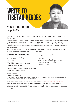

YESHE CHOEDRON ཡེ་ཤེས་ཆོས་སྒྲོན་

Retired Tibetan medical doctor detained in March 2008 and sentenced to 15 years for "espionage".

On 7 November 2008, Yeshe Choedron, a retired medical doctor, was sentenced to 15 years' imprisonment for allegedly providing "intelligence and information" linked to the 2008 protests in Lhasa. The Lhasa Evening News, a government run newspaper, reported that the court convicted Yeshe Choedron of "espionage" and claimed that the Tibetan Government in Exile had "assigned" her a task and provided her with "financial aid."

Yeshe Choedron is being held in the notorious Drapchi Prison and has not been able to see her children since her sentencing. She is believed to be in very poor health.

#### SEND A SOLIDARITY MESSAGE TO: *If possible please copy and paste the address*

Yeshe Choedron | ധাৰ়্থাৰ্ক্তঁম'ৰ্ম্নব'

Drapchi Prison, Zaki village, Lhasa, Tibet Autonomous Region, 850000 People's Republic of China

In Chinese:

Yeshe Choedron | ਘੇ' ਸੇਨ ਲੱਕਾ ਬੁੱਕ | 益西曲珍 拉萨第一监狱, 扎基村, 拉萨市 西藏自治区,中国

LANGUAGE: English, Tibetan or in your own language

SALUTATION: Dear Yeshe Choedron la

#### SAMPLE MESSAGE:

Dear Yeshe Choedron la

I'm writing to you from [ADD YOUR COUNTRY]. Please know that I and many others around the world are thinking of you and hope very much for your release.

LET US KNOW: Please let us know that you wrote to a Tibetan Hero at<http://bit.ly/WriteTibetResponse>

IMPORTANT NOTE: Avoid talking about politics, and definitely do not write about Tibetan freedom or independence. It is highly probable that your letter will be read by the authorities before it reaches the prisoner. Please use common sense when composing your text and don't say anything that could put her/ him at risk.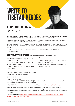

### LHUNDRUB DRAKPA

ལྷུན་འགྲུབ་གྲགས་པ་

Lhundrup Drakpa, a popular Tibetan singer from Driru, Eastern Tibet, was detained in May 2019, less than two months after he released a song – "Black Hat" – that criticised government policies.

After being held for over a year he was sentenced to six years in prison after a 'closed-door trial' during which he was not allowed legal representation of his choice.

Lhundrub Drakpa is known by Tibetans for his devotion to Tibetan cultural and artistic traditions. He is one of the most popular Tibetan singers in the region performing songs that highlight Tibetan national identity and pride.

Lhundrup was beaten during detention and is in serious danger of further torture at the hands of Chinese authorities.

#### SEND A SOLIDARITY MESSAGE TO: *If possible please copy and paste the address*

Lhundrup Drakpa | ལུན་འགྲུབ་གྲགས་པ | 楞珠扎巴 c/o Wang Junzheng General Office of the People's Government of Tibet Autonomous Region, No.1-2, Kangang East Road, Chengguan District, Lhasa, 850000

In Chinese:

Lhundrup Drakpa | <sub>영주</sub> '<sub>(직직'직'직'미지'지 | 楞珠扎巴</sub> c/o Wang Junzheng 王君正 850000 西藏自治區拉薩市城關區康昂東路1號 西藏自治區人民政府

LANGUAGE: English, Tibetan or in your own language

SALUTATION: Dear Lhundrup Drakpa la

#### SAMPLE MESSAGE:

Dear Lhundrup Drakpa la, I'm writing to you from [ADD YOUR COUNTRY]. Please know that I and many others around the world are thinking of you and hope very much for your release.

LET US KNOW: Please let us know that you wrote to a Tibetan Hero at<http://bit.ly/WriteTibetResponse>

IMPORTANT NOTE: Avoid talking about politics, and definitely do not write about Tibetan freedom or independence. It is highly probable that your letter will be read by the authorities before it reaches the prisoner. Please use common sense when composing your text and don't say anything that could put her/ him at risk.

DOWNLOAD ADDRESSES: [https://freetibetanheroes.org/freedom101/wp-content/uploads/2016/12/FTH\\_](https://freetibetanheroes.org/freedom101/wp-content/uploads/2016/12/FTH_WritingKit_2016_ENG_Addresse) [WritingKit\\_2016\\_ENG\\_Addresses.docx](https://freetibetanheroes.org/freedom101/wp-content/uploads/2016/12/FTH_WritingKit_2016_ENG_Addresse)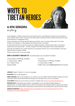

### A-NYA SENGDRA ཨ་ཉ་སེེང་སྒྲ་

A-Nya Sengdra, a Tibetan nomad and environmental activist, was detained by Chinese security officers in Amdo, Eastern Tibet in 2018. His arrest came after years of working to fight corruption and protect his local environment from unregulated mining.

A-Nya was beaten by Chinese security officers and held for over 14 months without trial. For the first 48 days of his detention, A-Nya Sengdra was denied access to his lawyer.

On December 6th 2019 he was found guilty for "gathering people to disturb public order" and "picking quarrels and provoking trouble" – phoney charges China often brings against human rights defenders.

His arrest and detention are a direct response to his peaceful activism as an environmentalist, community leader and anti-corruption activist.

A-Nya is known to be in very poor health.

#### SEND A SOLIDARITY MESSAGE TO: *If possible please copy and paste the address*

A-Nya Sengdra | জ'ন্স'থঁ়া' | 阿亞桑扎 c/ o Wang Jianjun 王建军 No.12 Xidajie, Xining, Qinghai 810000

In Chinese: A-Nya Sengdra | জ'ন্ত'ম<sup>্</sup>ম' | 阿亞桑扎 c/ o Wang Jianjun 王建军 810000 中華人民共和國青海省西寧市西大街12號

LANGUAGE: English, Tibetan or in your own language

SALUTATION: Dear A-Nya Sengdra la

SAMPLE MESSAGE: Dear A-Nya Sengdra la, I'm writing to you from [ADD YOUR COUNTRY]. Please know that I and many others around the world are thinking of you and hope very much for you release.

LET US KNOW: Please let us know that you wrote to a Tibetan Hero at http://bit.ly/WriteTibetResponse

IMPORTANT NOTE: Avoid talking about politics, and definitely do not write about Tibetan freedom or independence. It is highly probable that your letter will be read by the authorities before it reaches the prisoner. Please use common sense when composing your text and don't say anything that could put her/him at risk.

DOWNLOAD ADDRESSES: [https://freetibetanheroes.org/freedom101/wp-content/uploads/2016/12/FTH\\_](https://freetibetanheroes.org/freedom101/wp-content/uploads/2016/12/FTH_WritingKit_2016_ENG_Addresse) [WritingKit\\_2016\\_ENG\\_Addresses.docx](https://freetibetanheroes.org/freedom101/wp-content/uploads/2016/12/FTH_WritingKit_2016_ENG_Addresse)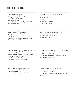### ADDRESS LABELS

Lhamo Kyab | স্লু'র্ম্'ক্লুনম'

Xizang Lasa Jianyu (Lhasa prison) Duodi street, Duodi village Chengguan district Lhasa, Tibet Autonomous Region, 850000 People's Republic of China

Lhamo Kyab | ལུ་མོ་སྐུབས་ | 拉姆加(音) 西藏拉萨监狱 公司地址: 西藏自治区·拉萨市·城 关区·夺底乡 夺底路

Yeshe Choedron | ധ<sup>.</sup> As & স্ক্রিষ

Drapchi Prison, Zaki village, Lhasa, Tibet Autonomous Region, 850000 People's Republic of China

Yeshe Choedron | ਘੇ' Pុੱ ਲੱਕ' ਸ਼ੁੱਕ | 益西曲珍 拉萨第一监狱, 扎基村, 拉萨市 西藏自治区,中国

Lhundrup Drakpa | <sub>영직</sub> '디젝시' 미지지' | 楞珠扎巴

c/o Wang Junzheng General Office of the People's Government of Tibet Autonomous Region, No.1-2, Kangang East Road, Chengguan District, Lhasa, 850000

Lhundrup Drakpa | <sub>영직</sub> 'འགྲུབ'གྲགས་བ | 楞珠扎巴

c/o Wang Junzheng 王君正 850000 西藏自治區拉薩市城關區康昂東路1 號 西藏自治區人民政府

A-Nya Sengdra | ন'ব্য়' ম' | 阿亞桑扎

c/ o Wang Jianjun 王建军 No.12 Xidajie, Xining, Qinghai 810000 A-Nya Sengdra | জ'ন্ত'ম<sup>্</sup>ম' | 阿亞桑扎

c/ o Wang Jianjun 王建军 810000 中華人民共和國青海省西寧市西大街 12號